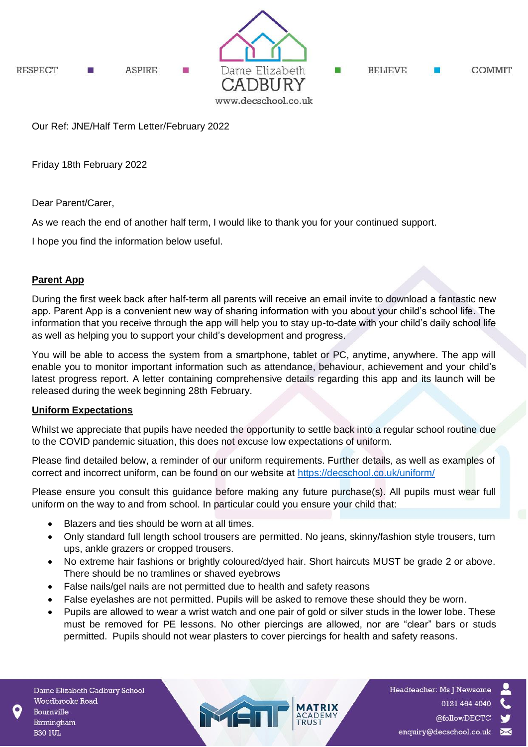

Our Ref: JNE/Half Term Letter/February 2022

Friday 18th February 2022

Dear Parent/Carer,

As we reach the end of another half term, I would like to thank you for your continued support.

I hope you find the information below useful.

## **Parent App**

During the first week back after half-term all parents will receive an email invite to download a fantastic new app. Parent App is a convenient new way of sharing information with you about your child's school life. The information that you receive through the app will help you to stay up-to-date with your child's daily school life as well as helping you to support your child's development and progress.

You will be able to access the system from a smartphone, tablet or PC, anytime, anywhere. The app will enable you to monitor important information such as attendance, behaviour, achievement and your child's latest progress report. A letter containing comprehensive details regarding this app and its launch will be released during the week beginning 28th February.

## **Uniform Expectations**

Whilst we appreciate that pupils have needed the opportunity to settle back into a regular school routine due to the COVID pandemic situation, this does not excuse low expectations of uniform.

Please find detailed below, a reminder of our uniform requirements. Further details, as well as examples of correct and incorrect uniform, can be found on our website at<https://decschool.co.uk/uniform/>

Please ensure you consult this guidance before making any future purchase(s). All pupils must wear full uniform on the way to and from school. In particular could you ensure your child that:

- Blazers and ties should be worn at all times.
- Only standard full length school trousers are permitted. No jeans, skinny/fashion style trousers, turn ups, ankle grazers or cropped trousers.
- No extreme hair fashions or brightly coloured/dyed hair. Short haircuts MUST be grade 2 or above. There should be no tramlines or shaved eyebrows
- False nails/gel nails are not permitted due to health and safety reasons
- False eyelashes are not permitted. Pupils will be asked to remove these should they be worn.

MET

• Pupils are allowed to wear a wrist watch and one pair of gold or silver studs in the lower lobe. These must be removed for PE lessons. No other piercings are allowed, nor are "clear" bars or studs permitted. Pupils should not wear plasters to cover piercings for health and safety reasons.

Headteacher: Ms J Newsome 0121 464 4040 @followDECTC enquiry@decschool.co.uk